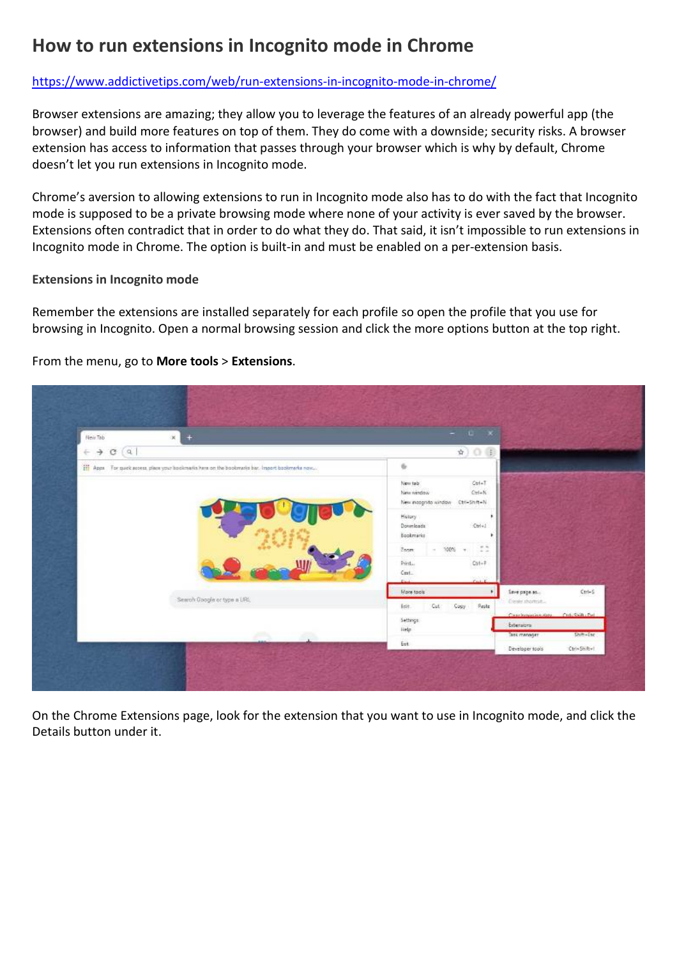## **How to run extensions in Incognito mode in Chrome**

## https://www.addictivetips.com/web/run-extensions-in-incognito-mode-in-chrome/

Browser extensions are amazing; they allow you to leverage the features of an already powerful app (the browser) and build more features on top of them. They do come with a downside; security risks. A browser extension has access to information that passes through your browser which is why by default, Chrome doesn't let you run extensions in Incognito mode.

Chrome's aversion to allowing extensions to run in Incognito mode also has to do with the fact that Incognito mode is supposed to be a private browsing mode where none of your activity is ever saved by the browser. Extensions often contradict that in order to do what they do. That said, it isn't impossible to run extensions in Incognito mode in Chrome. The option is built-in and must be enabled on a per-extension basis.

## **Extensions in Incognito mode**

Remember the extensions are installed separately for each profile so open the profile that you use for browsing in Incognito. Open a normal browsing session and click the more options button at the top right.

From the menu, go to **More tools** > **Extensions**.



On the Chrome Extensions page, look for the extension that you want to use in Incognito mode, and click the Details button under it.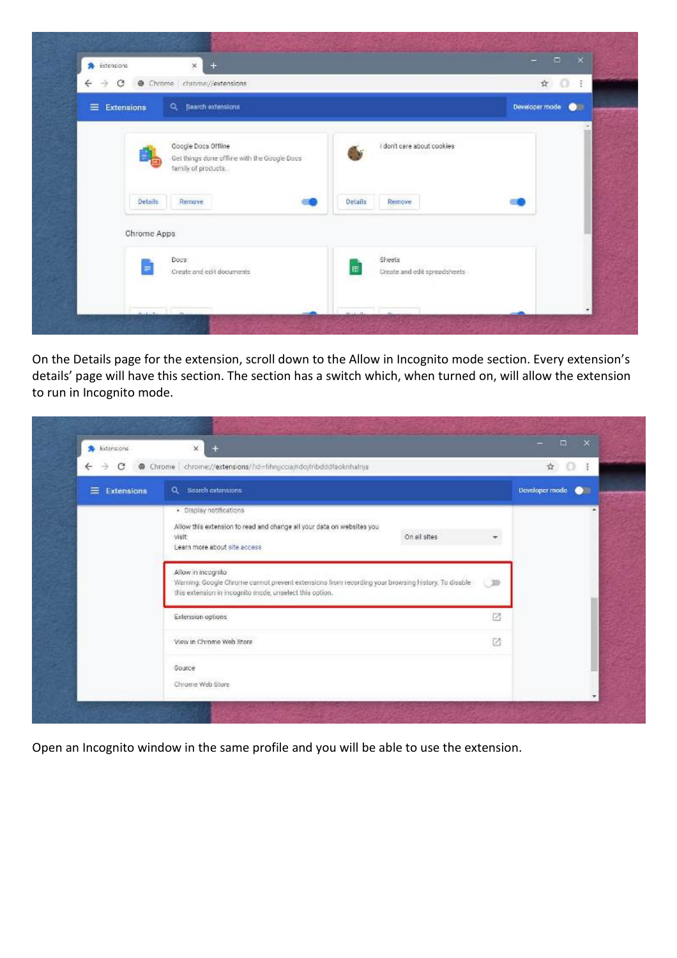| $\times$<br>$+$<br>Sidensions<br>$\mathcal{C}$<br>@ Chrome chrome://extensions<br>€<br>$\rightarrow$ |                                             | $\hat{r}$ 0<br>$\pm$        |
|------------------------------------------------------------------------------------------------------|---------------------------------------------|-----------------------------|
|                                                                                                      |                                             |                             |
| Q Bearch extensions<br>$\equiv$<br>Extensions                                                        |                                             | Developer mode<br>$\bullet$ |
| Coogle Docs Offline<br>Get things done offline with the Google Doos<br>tamily of products.           | I don't care about cookies                  |                             |
| Details.<br>Remove                                                                                   | Remove<br>Details                           |                             |
| Chrome Apps                                                                                          |                                             |                             |
| Docs:<br>Ξ<br>Create and edit documents                                                              | Sheets<br>田<br>Create and edit spreadsheets |                             |
|                                                                                                      |                                             |                             |

On the Details page for the extension, scroll down to the Allow in Incognito mode section. Every extension's details' page will have this section. The section has a switch which, when turned on, will allow the extension to run in Incognito mode.

| <b>A</b> Extensions<br>$\rightarrow$ C<br>$\leftarrow$ | $\mathbf{x}$<br>$+$<br>Chrome chrome://extensions/?id=fihngccia/hdojfnbdddfaoknhalnja                                                                                                             | ☆<br>$\Omega$<br>$\pm$      |
|--------------------------------------------------------|---------------------------------------------------------------------------------------------------------------------------------------------------------------------------------------------------|-----------------------------|
| $\equiv$ Extensions                                    | Q Search extensions:                                                                                                                                                                              | Developer mode<br>$\bullet$ |
|                                                        | · Display notifications<br>Allow this extension to read and change all your data on websites you<br>On all sites<br>visit<br>Learn more about site access                                         |                             |
|                                                        | Allow in incognito<br>Warning: Google Chrome cannot prevent extensions from recording your browsing history. To disable<br><b>E 29</b><br>this extension in incognito mode, unselect this option. |                             |
|                                                        | Extension options                                                                                                                                                                                 | 刁                           |
|                                                        | View in Chrome Web Store                                                                                                                                                                          | EA.                         |
|                                                        | Source<br>Chrome Web Store                                                                                                                                                                        |                             |

Open an Incognito window in the same profile and you will be able to use the extension.